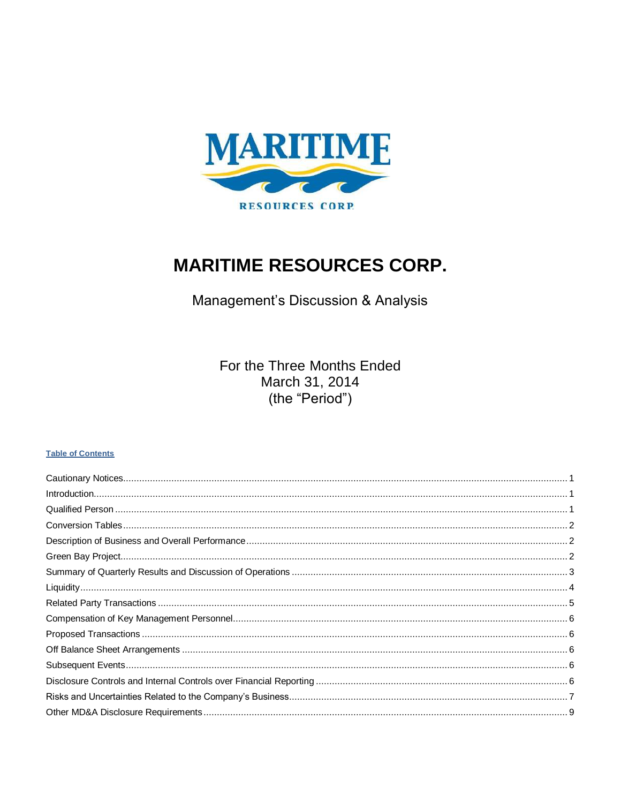

# **MARITIME RESOURCES CORP.**

Management's Discussion & Analysis

For the Three Months Ended March 31, 2014 (the "Period")

#### **Table of Contents**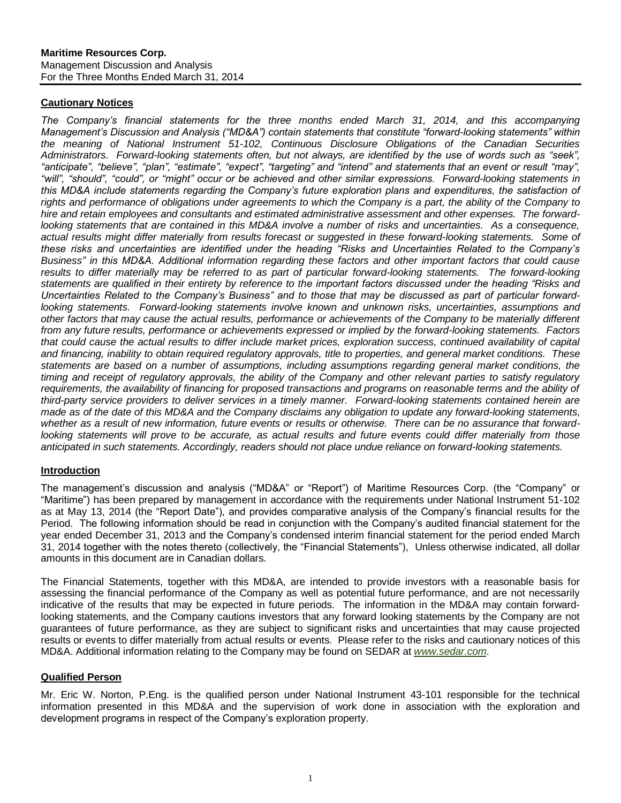# <span id="page-1-0"></span>**Cautionary Notices**

*The Company's financial statements for the three months ended March 31, 2014, and this accompanying Management's Discussion and Analysis ("MD&A") contain statements that constitute "forward-looking statements" within the meaning of National Instrument 51-102, Continuous Disclosure Obligations of the Canadian Securities Administrators. Forward-looking statements often, but not always, are identified by the use of words such as "seek", "anticipate", "believe", "plan", "estimate", "expect", "targeting" and "intend" and statements that an event or result "may", "will", "should", "could", or "might" occur or be achieved and other similar expressions. Forward-looking statements in this MD&A include statements regarding the Company's future exploration plans and expenditures, the satisfaction of rights and performance of obligations under agreements to which the Company is a part, the ability of the Company to hire and retain employees and consultants and estimated administrative assessment and other expenses. The forward*looking statements that are contained in this MD&A involve a number of risks and uncertainties. As a consequence, *actual results might differ materially from results forecast or suggested in these forward-looking statements. Some of these risks and uncertainties are identified under the heading "Risks and Uncertainties Related to the Company's Business" in this MD&A. Additional information regarding these factors and other important factors that could cause*  results to differ materially may be referred to as part of particular forward-looking statements. The forward-looking *statements are qualified in their entirety by reference to the important factors discussed under the heading "Risks and Uncertainties Related to the Company's Business" and to those that may be discussed as part of particular forwardlooking statements. Forward-looking statements involve known and unknown risks, uncertainties, assumptions and other factors that may cause the actual results, performance or achievements of the Company to be materially different from any future results, performance or achievements expressed or implied by the forward-looking statements. Factors that could cause the actual results to differ include market prices, exploration success, continued availability of capital and financing, inability to obtain required regulatory approvals, title to properties, and general market conditions. These statements are based on a number of assumptions, including assumptions regarding general market conditions, the timing and receipt of regulatory approvals, the ability of the Company and other relevant parties to satisfy regulatory*  requirements, the availability of financing for proposed transactions and programs on reasonable terms and the ability of *third-party service providers to deliver services in a timely manner. Forward-looking statements contained herein are made as of the date of this MD&A and the Company disclaims any obligation to update any forward-looking statements, whether as a result of new information, future events or results or otherwise. There can be no assurance that forward*looking statements will prove to be accurate, as actual results and future events could differ materially from those *anticipated in such statements. Accordingly, readers should not place undue reliance on forward-looking statements.*

#### <span id="page-1-1"></span>**Introduction**

The management's discussion and analysis ("MD&A" or "Report") of Maritime Resources Corp. (the "Company" or "Maritime") has been prepared by management in accordance with the requirements under National Instrument 51-102 as at May 13, 2014 (the "Report Date"), and provides comparative analysis of the Company's financial results for the Period. The following information should be read in conjunction with the Company's audited financial statement for the year ended December 31, 2013 and the Company's condensed interim financial statement for the period ended March 31, 2014 together with the notes thereto (collectively, the "Financial Statements"), Unless otherwise indicated, all dollar amounts in this document are in Canadian dollars.

The Financial Statements, together with this MD&A, are intended to provide investors with a reasonable basis for assessing the financial performance of the Company as well as potential future performance, and are not necessarily indicative of the results that may be expected in future periods. The information in the MD&A may contain forwardlooking statements, and the Company cautions investors that any forward looking statements by the Company are not guarantees of future performance, as they are subject to significant risks and uncertainties that may cause projected results or events to differ materially from actual results or events. Please refer to the risks and cautionary notices of this MD&A. Additional information relating to the Company may be found on SEDAR at *[www.sedar.com](http://www.sedar.com/)*.

#### <span id="page-1-2"></span>**Qualified Person**

Mr. Eric W. Norton, P.Eng. is the qualified person under National Instrument 43-101 responsible for the technical information presented in this MD&A and the supervision of work done in association with the exploration and development programs in respect of the Company's exploration property.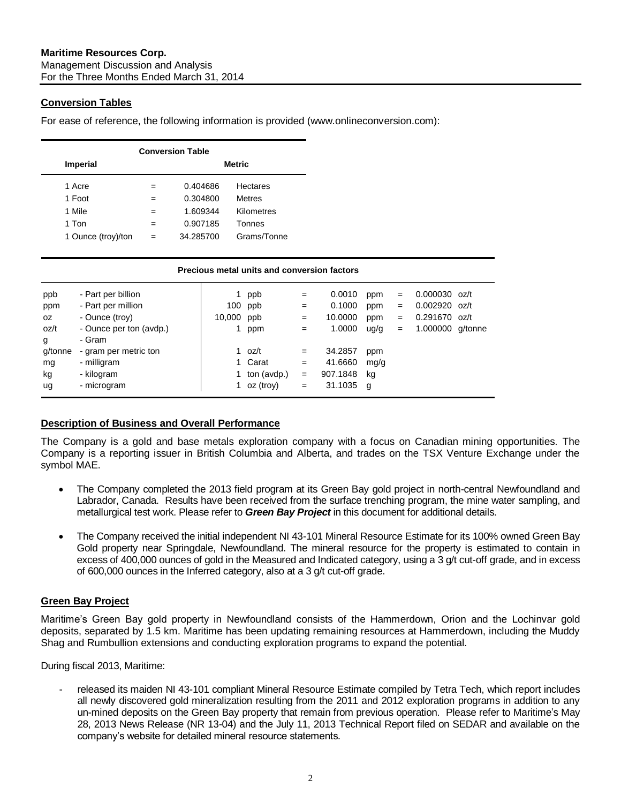# <span id="page-2-0"></span>**Conversion Tables**

For ease of reference, the following information is provided (www.onlineconversion.com):

| <b>Conversion Table</b> |               |           |                 |  |  |  |  |  |  |  |
|-------------------------|---------------|-----------|-----------------|--|--|--|--|--|--|--|
| <b>Imperial</b>         | <b>Metric</b> |           |                 |  |  |  |  |  |  |  |
| 1 Acre                  | $=$           | 0.404686  | <b>Hectares</b> |  |  |  |  |  |  |  |
| 1 Foot                  | $=$           | 0.304800  | <b>Metres</b>   |  |  |  |  |  |  |  |
| 1 Mile                  | $=$           | 1.609344  | Kilometres      |  |  |  |  |  |  |  |
| 1 Ton                   |               | 0.907185  | Tonnes          |  |  |  |  |  |  |  |
| 1 Ounce (troy)/ton      | $=$           | 34.285700 | Grams/Tonne     |  |  |  |  |  |  |  |

|         | Precious metal units and conversion factors |        |             |     |          |      |     |                  |  |
|---------|---------------------------------------------|--------|-------------|-----|----------|------|-----|------------------|--|
| ppb     | - Part per billion                          |        | ppb         | $=$ | 0.0010   | ppm  | $=$ | $0.000030$ oz/t  |  |
| ppm     | - Part per million                          |        | 100 ppb     | $=$ | 0.1000   | ppm  | $=$ | $0.002920$ oz/t  |  |
| OZ.     | - Ounce (troy)                              | 10,000 | ppb         | $=$ | 10.0000  | ppm  | $=$ | 0.291670 oz/t    |  |
| oz/t    | - Ounce per ton (avdp.)                     |        | ppm         | $=$ | 1.0000   | ug/g | $=$ | 1.000000 g/tonne |  |
| g       | - Gram                                      |        |             |     |          |      |     |                  |  |
| g/tonne | - gram per metric ton                       |        | 1 $oz/t$    | $=$ | 34.2857  | ppm  |     |                  |  |
| mg      | - milligram                                 |        | Carat       | $=$ | 41.6660  | mg/g |     |                  |  |
| kg      | - kilogram                                  |        | ton (avdp.) | $=$ | 907.1848 | kg   |     |                  |  |
| ug      | - microgram                                 |        | oz (troy)   | $=$ | 31.1035  | g    |     |                  |  |

# <span id="page-2-1"></span>**Description of Business and Overall Performance**

The Company is a gold and base metals exploration company with a focus on Canadian mining opportunities. The Company is a reporting issuer in British Columbia and Alberta, and trades on the TSX Venture Exchange under the symbol MAE.

- The Company completed the 2013 field program at its Green Bay gold project in north-central Newfoundland and Labrador, Canada. Results have been received from the surface trenching program, the mine water sampling, and metallurgical test work. Please refer to *Green Bay Project* in this document for additional details.
- The Company received the initial independent NI 43-101 Mineral Resource Estimate for its 100% owned Green Bay Gold property near Springdale, Newfoundland. The mineral resource for the property is estimated to contain in excess of 400,000 ounces of gold in the Measured and Indicated category, using a 3 g/t cut-off grade, and in excess of 600,000 ounces in the Inferred category, also at a 3 g/t cut-off grade.

# <span id="page-2-2"></span>**Green Bay Project**

Maritime's Green Bay gold property in Newfoundland consists of the Hammerdown, Orion and the Lochinvar gold deposits, separated by 1.5 km. Maritime has been updating remaining resources at Hammerdown, including the Muddy Shag and Rumbullion extensions and conducting exploration programs to expand the potential.

During fiscal 2013, Maritime:

released its maiden NI 43-101 compliant Mineral Resource Estimate compiled by Tetra Tech, which report includes all newly discovered gold mineralization resulting from the 2011 and 2012 exploration programs in addition to any un-mined deposits on the Green Bay property that remain from previous operation. Please refer to Maritime's May 28, 2013 News Release (NR 13-04) and the July 11, 2013 Technical Report filed on SEDAR and available on the company's website for detailed mineral resource statements.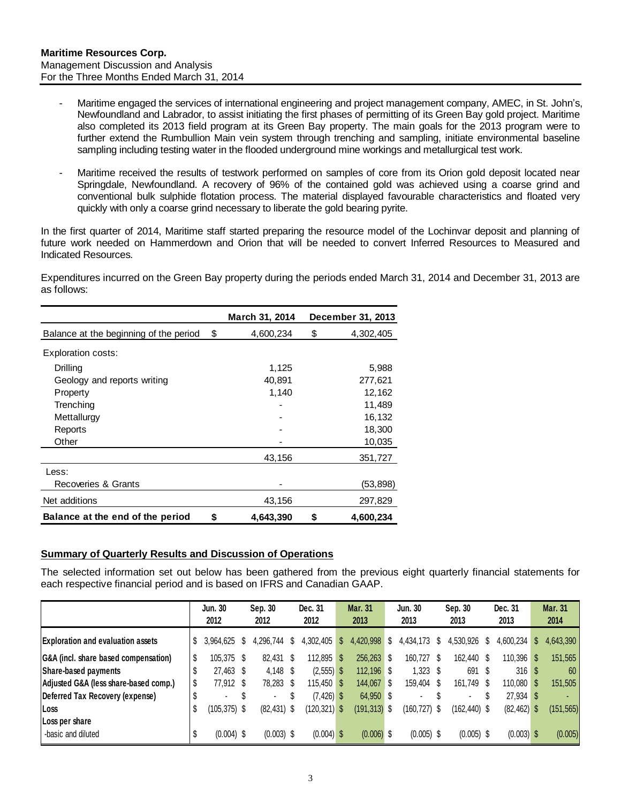- Maritime engaged the services of international engineering and project management company, AMEC, in St. John's, Newfoundland and Labrador, to assist initiating the first phases of permitting of its Green Bay gold project. Maritime also completed its 2013 field program at its Green Bay property. The main goals for the 2013 program were to further extend the Rumbullion Main vein system through trenching and sampling, initiate environmental baseline sampling including testing water in the flooded underground mine workings and metallurgical test work.
- Maritime received the results of testwork performed on samples of core from its Orion gold deposit located near Springdale, Newfoundland. A recovery of 96% of the contained gold was achieved using a coarse grind and conventional bulk sulphide flotation process. The material displayed favourable characteristics and floated very quickly with only a coarse grind necessary to liberate the gold bearing pyrite.

In the first quarter of 2014, Maritime staff started preparing the resource model of the Lochinvar deposit and planning of future work needed on Hammerdown and Orion that will be needed to convert Inferred Resources to Measured and Indicated Resources.

Expenditures incurred on the Green Bay property during the periods ended March 31, 2014 and December 31, 2013 are as follows:

|                                        |    | March 31, 2014 |    | December 31, 2013 |
|----------------------------------------|----|----------------|----|-------------------|
| Balance at the beginning of the period | \$ | 4,600,234      | \$ | 4,302,405         |
| <b>Exploration costs:</b>              |    |                |    |                   |
| Drilling                               |    | 1,125          |    | 5,988             |
| Geology and reports writing            |    | 40.891         |    | 277,621           |
| Property                               |    | 1,140          |    | 12,162            |
| Trenching                              |    |                |    | 11,489            |
| Mettallurgy                            |    |                |    | 16,132            |
| Reports                                |    |                |    | 18,300            |
| Other                                  |    |                |    | 10,035            |
|                                        |    | 43,156         |    | 351,727           |
| Less:                                  |    |                |    |                   |
| Recoveries & Grants                    |    |                |    | (53,898)          |
| Net additions                          |    | 43,156         |    | 297,829           |
| Balance at the end of the period       | S  | 4.643.390      | S  | 4,600,234         |

#### <span id="page-3-0"></span>**Summary of Quarterly Results and Discussion of Operations**

The selected information set out below has been gathered from the previous eight quarterly financial statements for each respective financial period and is based on IFRS and Canadian GAAP.

|                                          |    | Jun. 30<br>2012 |      | Sep. 30<br>2012          | Dec. 31<br>2012 |              | <b>Mar. 31</b><br>2013 |    | Jun. 30<br>2013 |    | Sep. 30<br>2013 |      | Dec. 31<br>2013 |    | <b>Mar. 31</b><br>2014 |
|------------------------------------------|----|-----------------|------|--------------------------|-----------------|--------------|------------------------|----|-----------------|----|-----------------|------|-----------------|----|------------------------|
| <b>Exploration and evaluation assets</b> | S  | 3,964,625       |      | 4.296.744 \$             | 4,302,405       | <sup>S</sup> | 4,420,998              |    | 4,434,173       | Ψ. | 4,530,926       |      | 4,600,234       | S. | 4,643,390              |
| G&A (incl. share based compensation)     |    | 105.375         | - \$ | 82.431 \$                | $112.895$ \$    |              | $256,263$ \$           |    | 160.727 \$      |    | 162,440 \$      |      | $110.396$ \$    |    | 151,565                |
| Share-based payments                     |    | 27,463 \$       |      | $4.148$ \$               | $(2,555)$ \$    |              | 112.196 \$             |    | $1,323$ \$      |    | 691             | - \$ | 316S            |    | 60                     |
| Adjusted G&A (less share-based comp.)    |    | 77.912 \$       |      | 78,283 \$                | $115.450$ \$    |              | 144,067                | -S | 159,404 \$      |    | 161.749 \$      |      | $110,080$ \$    |    | 151,505                |
| Deferred Tax Recovery (expense)          |    | $\blacksquare$  |      | $\overline{\phantom{a}}$ | $(7, 426)$ \$   |              | 64,950 \$              |    | $\blacksquare$  |    | $\blacksquare$  |      | $27.934$ \$     |    |                        |
| Loss                                     | \$ | (105,375) \$    |      | $(82, 431)$ \$           | $(120, 321)$ \$ |              | $(191, 313)$ \$        |    | (160,727) \$    |    | $(162, 440)$ \$ |      | $(82, 462)$ \$  |    | (151, 565)             |
| Loss per share                           |    |                 |      |                          |                 |              |                        |    |                 |    |                 |      |                 |    |                        |
| -basic and diluted                       |    | $(0.004)$ \$    |      | $(0.003)$ \$             | $(0.004)$ \$    |              | $(0.006)$ \$           |    | $(0.005)$ \$    |    | $(0.005)$ \$    |      | $(0.003)$ \$    |    | (0.005)                |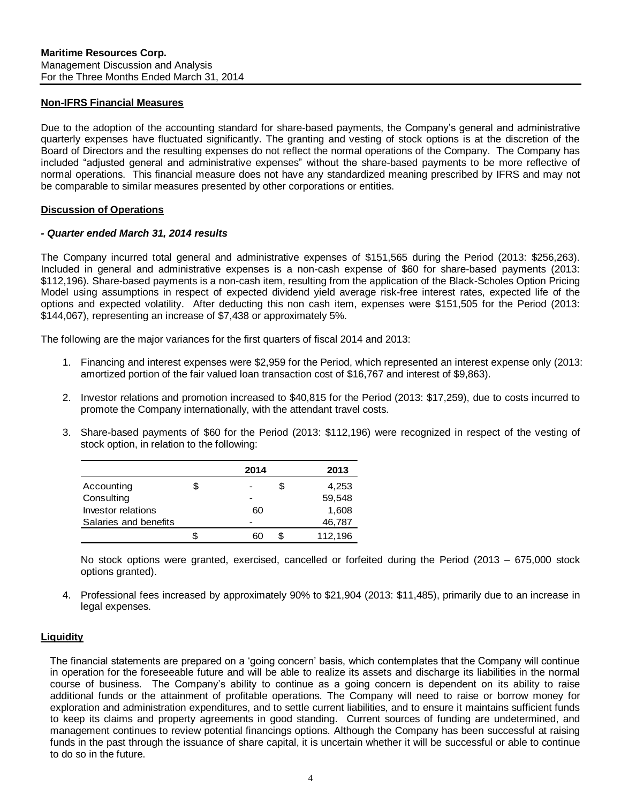#### **Non-IFRS Financial Measures**

Due to the adoption of the accounting standard for share-based payments, the Company's general and administrative quarterly expenses have fluctuated significantly. The granting and vesting of stock options is at the discretion of the Board of Directors and the resulting expenses do not reflect the normal operations of the Company. The Company has included "adjusted general and administrative expenses" without the share-based payments to be more reflective of normal operations. This financial measure does not have any standardized meaning prescribed by IFRS and may not be comparable to similar measures presented by other corporations or entities.

#### **Discussion of Operations**

#### *- Quarter ended March 31, 2014 results*

The Company incurred total general and administrative expenses of \$151,565 during the Period (2013: \$256,263). Included in general and administrative expenses is a non-cash expense of \$60 for share-based payments (2013: \$112,196). Share-based payments is a non-cash item, resulting from the application of the Black-Scholes Option Pricing Model using assumptions in respect of expected dividend yield average risk-free interest rates, expected life of the options and expected volatility. After deducting this non cash item, expenses were \$151,505 for the Period (2013: \$144,067), representing an increase of \$7,438 or approximately 5%.

The following are the major variances for the first quarters of fiscal 2014 and 2013:

- 1. Financing and interest expenses were \$2,959 for the Period, which represented an interest expense only (2013: amortized portion of the fair valued loan transaction cost of \$16,767 and interest of \$9,863).
- 2. Investor relations and promotion increased to \$40,815 for the Period (2013: \$17,259), due to costs incurred to promote the Company internationally, with the attendant travel costs.
- 3. Share-based payments of \$60 for the Period (2013: \$112,196) were recognized in respect of the vesting of stock option, in relation to the following:

|                       | 2014 | 2013    |
|-----------------------|------|---------|
| Accounting            | \$   | 4,253   |
| Consulting            |      | 59,548  |
| Investor relations    | 60   | 1,608   |
| Salaries and benefits |      | 46,787  |
|                       | \$   | 112,196 |

No stock options were granted, exercised, cancelled or forfeited during the Period (2013 – 675,000 stock options granted).

4. Professional fees increased by approximately 90% to \$21,904 (2013: \$11,485), primarily due to an increase in legal expenses.

#### <span id="page-4-0"></span>**Liquidity**

The financial statements are prepared on a 'going concern' basis, which contemplates that the Company will continue in operation for the foreseeable future and will be able to realize its assets and discharge its liabilities in the normal course of business. The Company's ability to continue as a going concern is dependent on its ability to raise additional funds or the attainment of profitable operations. The Company will need to raise or borrow money for exploration and administration expenditures, and to settle current liabilities, and to ensure it maintains sufficient funds to keep its claims and property agreements in good standing. Current sources of funding are undetermined, and management continues to review potential financings options. Although the Company has been successful at raising funds in the past through the issuance of share capital, it is uncertain whether it will be successful or able to continue to do so in the future.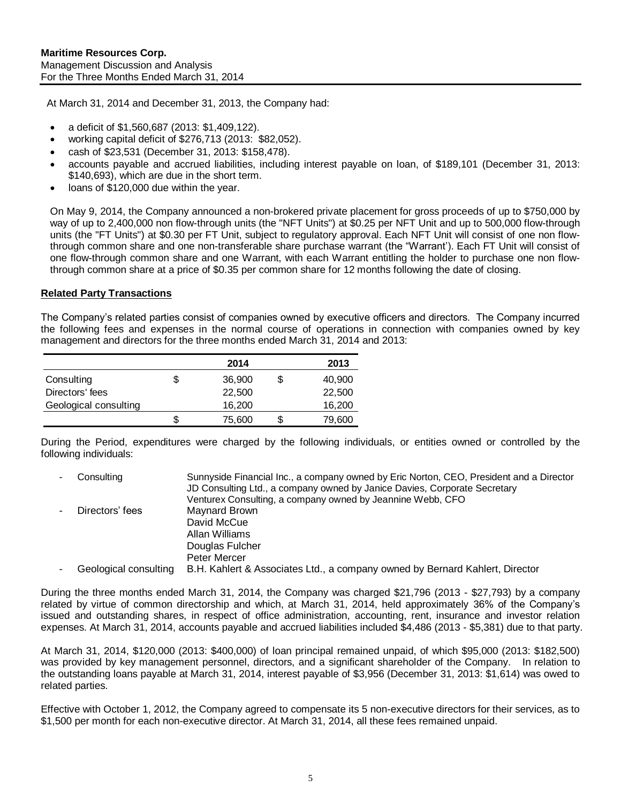At March 31, 2014 and December 31, 2013, the Company had:

- a deficit of \$1,560,687 (2013: \$1,409,122).
- working capital deficit of \$276,713 (2013: \$82,052).
- cash of \$23,531 (December 31, 2013: \$158,478).
- accounts payable and accrued liabilities, including interest payable on loan, of \$189,101 (December 31, 2013: \$140,693), which are due in the short term.
- loans of \$120,000 due within the year.

On May 9, 2014, the Company announced a non-brokered private placement for gross proceeds of up to \$750,000 by way of up to 2,400,000 non flow-through units (the "NFT Units") at \$0.25 per NFT Unit and up to 500,000 flow-through units (the "FT Units") at \$0.30 per FT Unit, subject to regulatory approval. Each NFT Unit will consist of one non flowthrough common share and one non-transferable share purchase warrant (the "Warrant'). Each FT Unit will consist of one flow-through common share and one Warrant, with each Warrant entitling the holder to purchase one non flowthrough common share at a price of \$0.35 per common share for 12 months following the date of closing.

#### <span id="page-5-0"></span>**Related Party Transactions**

The Company's related parties consist of companies owned by executive officers and directors. The Company incurred the following fees and expenses in the normal course of operations in connection with companies owned by key management and directors for the three months ended March 31, 2014 and 2013:

|                       | 2014   | 2013   |
|-----------------------|--------|--------|
| Consulting            | 36,900 | 40,900 |
| Directors' fees       | 22,500 | 22,500 |
| Geological consulting | 16.200 | 16,200 |
|                       | 75,600 | 79.600 |

During the Period, expenditures were charged by the following individuals, or entities owned or controlled by the following individuals:

|   | Consulting            | Sunnyside Financial Inc., a company owned by Eric Norton, CEO, President and a Director |
|---|-----------------------|-----------------------------------------------------------------------------------------|
|   |                       | JD Consulting Ltd., a company owned by Janice Davies, Corporate Secretary               |
|   |                       | Venturex Consulting, a company owned by Jeannine Webb, CFO                              |
| ۰ | Directors' fees       | Maynard Brown                                                                           |
|   |                       | David McCue                                                                             |
|   |                       | Allan Williams                                                                          |
|   |                       | Douglas Fulcher                                                                         |
|   |                       | Peter Mercer                                                                            |
| ۰ | Geological consulting | B.H. Kahlert & Associates Ltd., a company owned by Bernard Kahlert, Director            |

During the three months ended March 31, 2014, the Company was charged \$21,796 (2013 - \$27,793) by a company related by virtue of common directorship and which, at March 31, 2014, held approximately 36% of the Company's issued and outstanding shares, in respect of office administration, accounting, rent, insurance and investor relation expenses. At March 31, 2014, accounts payable and accrued liabilities included \$4,486 (2013 - \$5,381) due to that party.

At March 31, 2014, \$120,000 (2013: \$400,000) of loan principal remained unpaid, of which \$95,000 (2013: \$182,500) was provided by key management personnel, directors, and a significant shareholder of the Company. In relation to the outstanding loans payable at March 31, 2014, interest payable of \$3,956 (December 31, 2013: \$1,614) was owed to related parties.

Effective with October 1, 2012, the Company agreed to compensate its 5 non-executive directors for their services, as to \$1,500 per month for each non-executive director. At March 31, 2014, all these fees remained unpaid.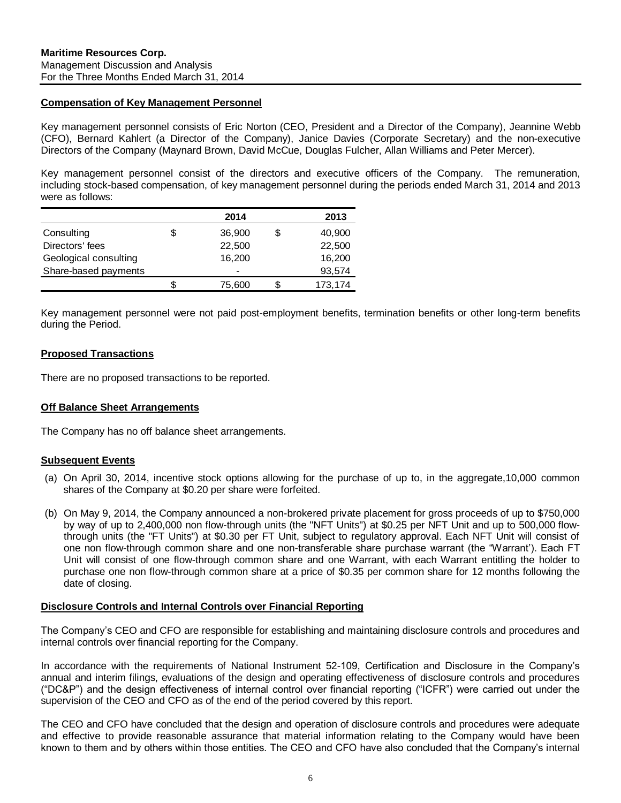#### <span id="page-6-0"></span>**Compensation of Key Management Personnel**

Key management personnel consists of Eric Norton (CEO, President and a Director of the Company), Jeannine Webb (CFO), Bernard Kahlert (a Director of the Company), Janice Davies (Corporate Secretary) and the non-executive Directors of the Company (Maynard Brown, David McCue, Douglas Fulcher, Allan Williams and Peter Mercer).

Key management personnel consist of the directors and executive officers of the Company. The remuneration, including stock-based compensation, of key management personnel during the periods ended March 31, 2014 and 2013 were as follows:

|                       | 2014   | 2013         |
|-----------------------|--------|--------------|
| Consulting            | 36,900 | \$<br>40,900 |
| Directors' fees       | 22,500 | 22,500       |
| Geological consulting | 16.200 | 16,200       |
| Share-based payments  | -      | 93,574       |
|                       | 75,600 | 173,174      |

Key management personnel were not paid post-employment benefits, termination benefits or other long-term benefits during the Period.

# <span id="page-6-1"></span>**Proposed Transactions**

There are no proposed transactions to be reported.

#### <span id="page-6-2"></span>**Off Balance Sheet Arrangements**

The Company has no off balance sheet arrangements.

#### <span id="page-6-3"></span>**Subsequent Events**

- (a) On April 30, 2014, incentive stock options allowing for the purchase of up to, in the aggregate,10,000 common shares of the Company at \$0.20 per share were forfeited.
- (b) On May 9, 2014, the Company announced a non-brokered private placement for gross proceeds of up to \$750,000 by way of up to 2,400,000 non flow-through units (the "NFT Units") at \$0.25 per NFT Unit and up to 500,000 flowthrough units (the "FT Units") at \$0.30 per FT Unit, subject to regulatory approval. Each NFT Unit will consist of one non flow-through common share and one non-transferable share purchase warrant (the "Warrant'). Each FT Unit will consist of one flow-through common share and one Warrant, with each Warrant entitling the holder to purchase one non flow-through common share at a price of \$0.35 per common share for 12 months following the date of closing. Consulting 2014<br>
Conclusion Sea and Conclusion 22,500<br>
Show-based payments<br>
Show-based payments<br>
Show-based payments<br>
Show-based payments<br>
Show-based payments<br>
Key management personnel were not paid post-employment benefit

#### <span id="page-6-4"></span>**Disclosure Controls and Internal Controls over Financial Reporting**

The Company's CEO and CFO are responsible for establishing and maintaining disclosure controls and procedures and internal controls over financial reporting for the Company.

In accordance with the requirements of National Instrument 52-109, Certification and Disclosure in the Company's annual and interim filings, evaluations of the design and operating effectiveness of disclosure controls and procedures ("DC&P") and the design effectiveness of internal control over financial reporting ("ICFR") were carried out under the supervision of the CEO and CFO as of the end of the period covered by this report.

The CEO and CFO have concluded that the design and operation of disclosure controls and procedures were adequate and effective to provide reasonable assurance that material information relating to the Company would have been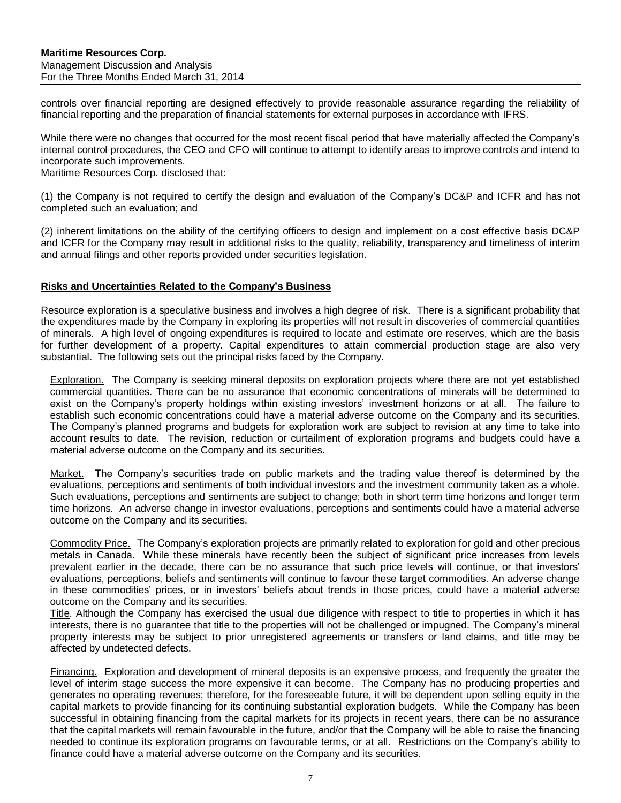controls over financial reporting are designed effectively to provide reasonable assurance regarding the reliability of financial reporting and the preparation of financial statements for external purposes in accordance with IFRS.

While there were no changes that occurred for the most recent fiscal period that have materially affected the Company's internal control procedures, the CEO and CFO will continue to attempt to identify areas to improve controls and intend to incorporate such improvements.

Maritime Resources Corp. disclosed that:

(1) the Company is not required to certify the design and evaluation of the Company's DC&P and ICFR and has not completed such an evaluation; and

(2) inherent limitations on the ability of the certifying officers to design and implement on a cost effective basis DC&P and ICFR for the Company may result in additional risks to the quality, reliability, transparency and timeliness of interim and annual filings and other reports provided under securities legislation.

#### <span id="page-7-0"></span>**Risks and Uncertainties Related to the Company's Business**

Resource exploration is a speculative business and involves a high degree of risk. There is a significant probability that the expenditures made by the Company in exploring its properties will not result in discoveries of commercial quantities of minerals. A high level of ongoing expenditures is required to locate and estimate ore reserves, which are the basis for further development of a property. Capital expenditures to attain commercial production stage are also very substantial. The following sets out the principal risks faced by the Company.

Exploration.The Company is seeking mineral deposits on exploration projects where there are not yet established commercial quantities. There can be no assurance that economic concentrations of minerals will be determined to exist on the Company's property holdings within existing investors' investment horizons or at all. The failure to establish such economic concentrations could have a material adverse outcome on the Company and its securities. The Company's planned programs and budgets for exploration work are subject to revision at any time to take into account results to date. The revision, reduction or curtailment of exploration programs and budgets could have a material adverse outcome on the Company and its securities.

Market.The Company's securities trade on public markets and the trading value thereof is determined by the evaluations, perceptions and sentiments of both individual investors and the investment community taken as a whole. Such evaluations, perceptions and sentiments are subject to change; both in short term time horizons and longer term time horizons. An adverse change in investor evaluations, perceptions and sentiments could have a material adverse outcome on the Company and its securities.

Commodity Price.The Company's exploration projects are primarily related to exploration for gold and other precious metals in Canada. While these minerals have recently been the subject of significant price increases from levels prevalent earlier in the decade, there can be no assurance that such price levels will continue, or that investors' evaluations, perceptions, beliefs and sentiments will continue to favour these target commodities. An adverse change in these commodities' prices, or in investors' beliefs about trends in those prices, could have a material adverse outcome on the Company and its securities.

Title. Although the Company has exercised the usual due diligence with respect to title to properties in which it has interests, there is no guarantee that title to the properties will not be challenged or impugned. The Company's mineral property interests may be subject to prior unregistered agreements or transfers or land claims, and title may be affected by undetected defects.

Financing.Exploration and development of mineral deposits is an expensive process, and frequently the greater the level of interim stage success the more expensive it can become. The Company has no producing properties and generates no operating revenues; therefore, for the foreseeable future, it will be dependent upon selling equity in the capital markets to provide financing for its continuing substantial exploration budgets. While the Company has been successful in obtaining financing from the capital markets for its projects in recent years, there can be no assurance that the capital markets will remain favourable in the future, and/or that the Company will be able to raise the financing needed to continue its exploration programs on favourable terms, or at all. Restrictions on the Company's ability to finance could have a material adverse outcome on the Company and its securities.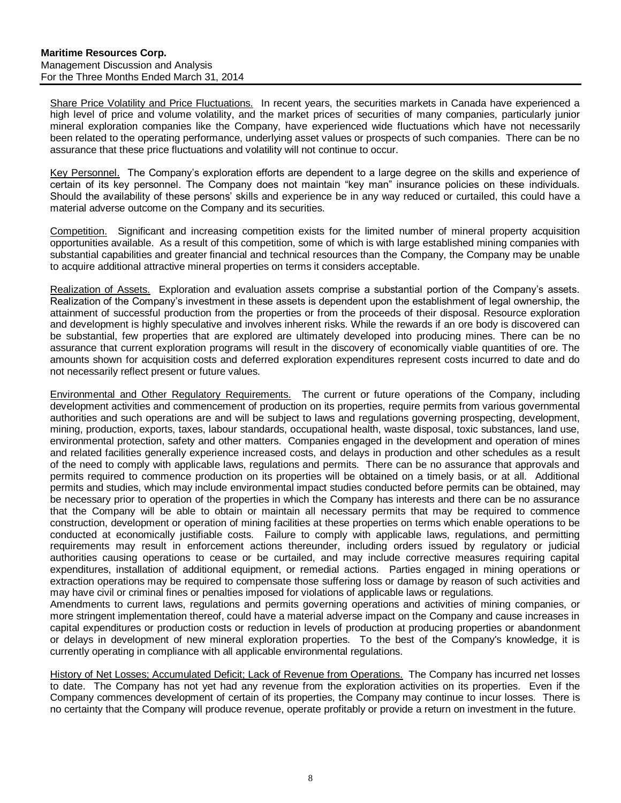Share Price Volatility and Price Fluctuations.In recent years, the securities markets in Canada have experienced a high level of price and volume volatility, and the market prices of securities of many companies, particularly junior mineral exploration companies like the Company, have experienced wide fluctuations which have not necessarily been related to the operating performance, underlying asset values or prospects of such companies. There can be no assurance that these price fluctuations and volatility will not continue to occur.

Key Personnel. The Company's exploration efforts are dependent to a large degree on the skills and experience of certain of its key personnel. The Company does not maintain "key man" insurance policies on these individuals. Should the availability of these persons' skills and experience be in any way reduced or curtailed, this could have a material adverse outcome on the Company and its securities.

Competition.Significant and increasing competition exists for the limited number of mineral property acquisition opportunities available. As a result of this competition, some of which is with large established mining companies with substantial capabilities and greater financial and technical resources than the Company, the Company may be unable to acquire additional attractive mineral properties on terms it considers acceptable.

Realization of Assets. Exploration and evaluation assets comprise a substantial portion of the Company's assets. Realization of the Company's investment in these assets is dependent upon the establishment of legal ownership, the attainment of successful production from the properties or from the proceeds of their disposal. Resource exploration and development is highly speculative and involves inherent risks. While the rewards if an ore body is discovered can be substantial, few properties that are explored are ultimately developed into producing mines. There can be no assurance that current exploration programs will result in the discovery of economically viable quantities of ore. The amounts shown for acquisition costs and deferred exploration expenditures represent costs incurred to date and do not necessarily reflect present or future values.

Environmental and Other Regulatory Requirements.The current or future operations of the Company, including development activities and commencement of production on its properties, require permits from various governmental authorities and such operations are and will be subject to laws and regulations governing prospecting, development, mining, production, exports, taxes, labour standards, occupational health, waste disposal, toxic substances, land use, environmental protection, safety and other matters. Companies engaged in the development and operation of mines and related facilities generally experience increased costs, and delays in production and other schedules as a result of the need to comply with applicable laws, regulations and permits. There can be no assurance that approvals and permits required to commence production on its properties will be obtained on a timely basis, or at all. Additional permits and studies, which may include environmental impact studies conducted before permits can be obtained, may be necessary prior to operation of the properties in which the Company has interests and there can be no assurance that the Company will be able to obtain or maintain all necessary permits that may be required to commence construction, development or operation of mining facilities at these properties on terms which enable operations to be conducted at economically justifiable costs. Failure to comply with applicable laws, regulations, and permitting requirements may result in enforcement actions thereunder, including orders issued by regulatory or judicial authorities causing operations to cease or be curtailed, and may include corrective measures requiring capital expenditures, installation of additional equipment, or remedial actions. Parties engaged in mining operations or extraction operations may be required to compensate those suffering loss or damage by reason of such activities and may have civil or criminal fines or penalties imposed for violations of applicable laws or regulations.

Amendments to current laws, regulations and permits governing operations and activities of mining companies, or more stringent implementation thereof, could have a material adverse impact on the Company and cause increases in capital expenditures or production costs or reduction in levels of production at producing properties or abandonment or delays in development of new mineral exploration properties. To the best of the Company's knowledge, it is currently operating in compliance with all applicable environmental regulations.

History of Net Losses; Accumulated Deficit; Lack of Revenue from Operations. The Company has incurred net losses to date. The Company has not yet had any revenue from the exploration activities on its properties. Even if the Company commences development of certain of its properties, the Company may continue to incur losses. There is no certainty that the Company will produce revenue, operate profitably or provide a return on investment in the future.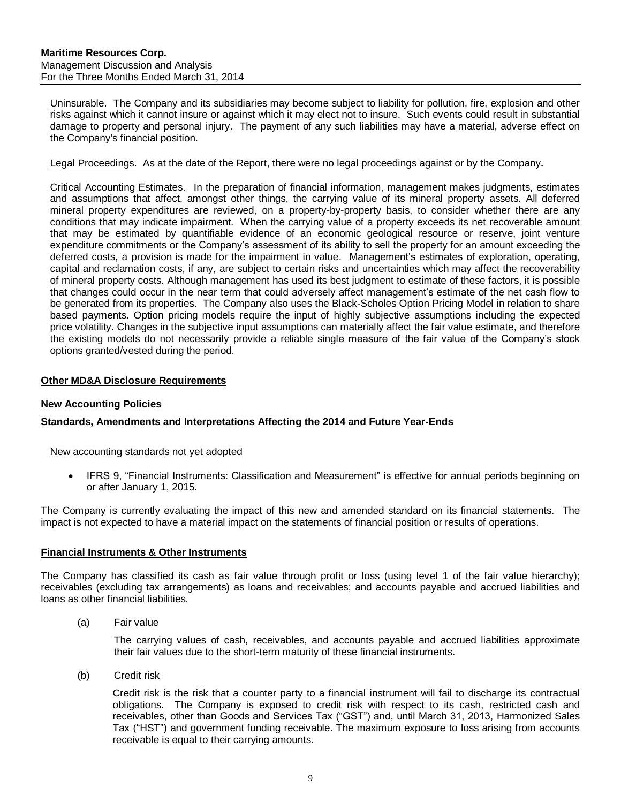Uninsurable. The Company and its subsidiaries may become subject to liability for pollution, fire, explosion and other risks against which it cannot insure or against which it may elect not to insure. Such events could result in substantial damage to property and personal injury. The payment of any such liabilities may have a material, adverse effect on the Company's financial position.

Legal Proceedings. As at the date of the Report, there were no legal proceedings against or by the Company.

Critical Accounting Estimates.In the preparation of financial information, management makes judgments, estimates and assumptions that affect, amongst other things, the carrying value of its mineral property assets. All deferred mineral property expenditures are reviewed, on a property-by-property basis, to consider whether there are any conditions that may indicate impairment. When the carrying value of a property exceeds its net recoverable amount that may be estimated by quantifiable evidence of an economic geological resource or reserve, joint venture expenditure commitments or the Company's assessment of its ability to sell the property for an amount exceeding the deferred costs, a provision is made for the impairment in value. Management's estimates of exploration, operating, capital and reclamation costs, if any, are subject to certain risks and uncertainties which may affect the recoverability of mineral property costs. Although management has used its best judgment to estimate of these factors, it is possible that changes could occur in the near term that could adversely affect management's estimate of the net cash flow to be generated from its properties. The Company also uses the Black-Scholes Option Pricing Model in relation to share based payments. Option pricing models require the input of highly subjective assumptions including the expected price volatility. Changes in the subjective input assumptions can materially affect the fair value estimate, and therefore the existing models do not necessarily provide a reliable single measure of the fair value of the Company's stock options granted/vested during the period.

#### <span id="page-9-0"></span>**Other MD&A Disclosure Requirements**

#### **New Accounting Policies**

# **Standards, Amendments and Interpretations Affecting the 2014 and Future Year-Ends**

New accounting standards not yet adopted

• IFRS 9, "Financial Instruments: Classification and Measurement" is effective for annual periods beginning on or after January 1, 2015.

The Company is currently evaluating the impact of this new and amended standard on its financial statements. The impact is not expected to have a material impact on the statements of financial position or results of operations.

#### **Financial Instruments & Other Instruments**

The Company has classified its cash as fair value through profit or loss (using level 1 of the fair value hierarchy); receivables (excluding tax arrangements) as loans and receivables; and accounts payable and accrued liabilities and loans as other financial liabilities.

(a) Fair value

The carrying values of cash, receivables, and accounts payable and accrued liabilities approximate their fair values due to the short-term maturity of these financial instruments.

(b) Credit risk

Credit risk is the risk that a counter party to a financial instrument will fail to discharge its contractual obligations. The Company is exposed to credit risk with respect to its cash, restricted cash and receivables, other than Goods and Services Tax ("GST") and, until March 31, 2013, Harmonized Sales Tax ("HST") and government funding receivable. The maximum exposure to loss arising from accounts receivable is equal to their carrying amounts.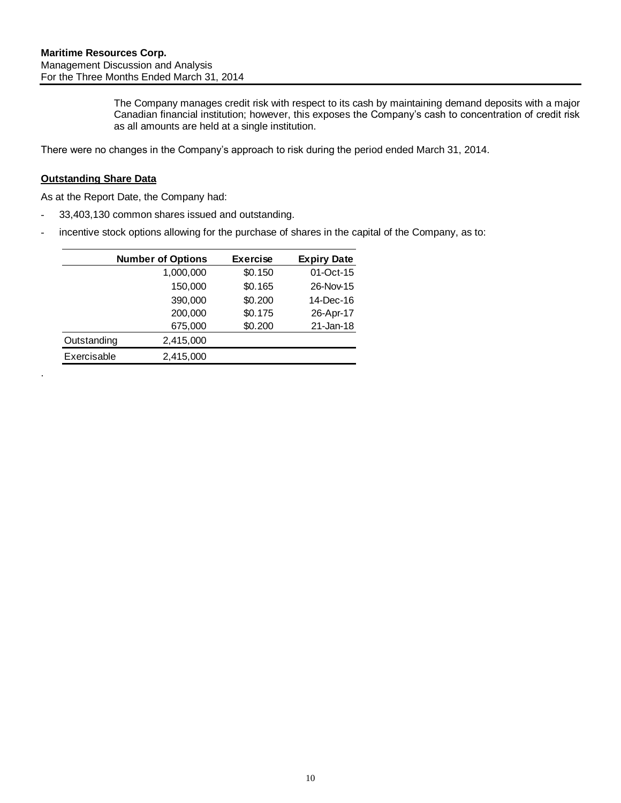The Company manages credit risk with respect to its cash by maintaining demand deposits with a major Canadian financial institution; however, this exposes the Company's cash to concentration of credit risk as all amounts are held at a single institution.

There were no changes in the Company's approach to risk during the period ended March 31, 2014.

### **Outstanding Share Data**

.

As at the Report Date, the Company had:

- 33,403,130 common shares issued and outstanding.
- incentive stock options allowing for the purchase of shares in the capital of the Company, as to:

|             | <b>Number of Options</b> | <b>Exercise</b> | <b>Expiry Date</b> |
|-------------|--------------------------|-----------------|--------------------|
|             | 1,000,000                | \$0.150         | 01-Oct-15          |
|             | 150,000                  | \$0.165         | 26-Nov-15          |
|             | 390,000                  | \$0.200         | 14-Dec-16          |
|             | 200,000                  | \$0.175         | 26-Apr-17          |
|             | 675,000                  | \$0.200         | 21-Jan-18          |
| Outstanding | 2,415,000                |                 |                    |
| Exercisable | 2,415,000                |                 |                    |